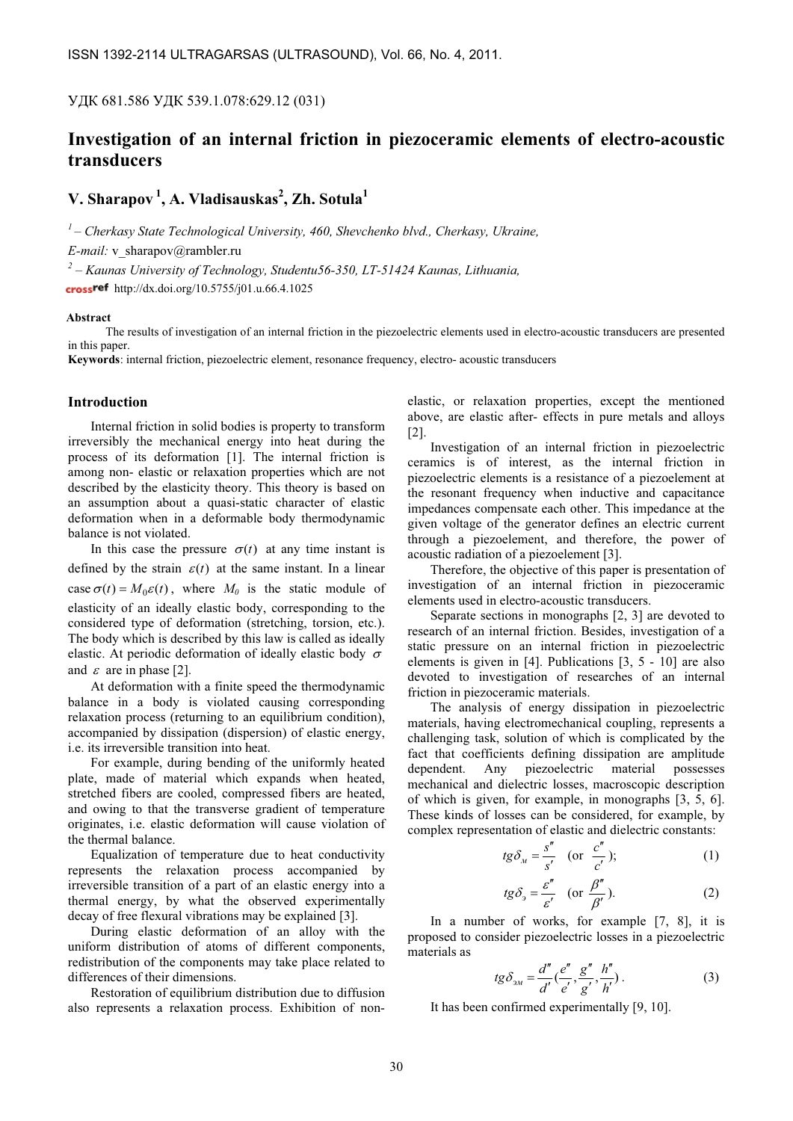УДК 681.586 УДК 539.1.078:629.12 (031)

## Investigation of an internal friction in piezoceramic elements of electro-acoustic transducers

# V. Sharapov<sup>1</sup>, A. Vladisauskas<sup>2</sup>, Zh. Sotula<sup>1</sup>

 $1$ – Cherkasy State Technological University, 460, Shevchenko blvd., Cherkasy, Ukraine,

E-mail: v\_sharapov@rambler.ru

 $\mu^2$  – Kaunas University of Technology, Studentu56-350, LT-51424 Kaunas, Lithuania,

cross<sup>ref</sup> http://dx.doi.org/10.5755/j01.u.66.4.1025

## **Abstract**

The results of investigation of an internal friction in the piezoelectric elements used in electro-acoustic transducers are presented in this paper.

Keywords: internal friction, piezoelectric element, resonance frequency, electro- acoustic transducers

## Introduction

Internal friction in solid bodies is property to transform irreversibly the mechanical energy into heat during the process of its deformation [1]. The internal friction is among non- elastic or relaxation properties which are not described by the elasticity theory. This theory is based on an assumption about a quasi-static character of elastic deformation when in a deformable body thermodynamic balance is not violated.

In this case the pressure  $\sigma(t)$  at any time instant is defined by the strain  $\varepsilon(t)$  at the same instant. In a linear case  $\sigma(t) = M_0 \varepsilon(t)$ , where  $M_0$  is the static module of elasticity of an ideally elastic body, corresponding to the considered type of deformation (stretching, torsion, etc.). The body which is described by this law is called as ideally elastic. At periodic deformation of ideally elastic body  $\sigma$ and  $\varepsilon$  are in phase [2].

At deformation with a finite speed the thermodynamic balance in a body is violated causing corresponding relaxation process (returning to an equilibrium condition), accompanied by dissipation (dispersion) of elastic energy, i.e. its irreversible transition into heat.

For example, during bending of the uniformly heated plate, made of material which expands when heated, stretched fibers are cooled, compressed fibers are heated, and owing to that the transverse gradient of temperature originates, i.e. elastic deformation will cause violation of the thermal balance.

Equalization of temperature due to heat conductivity represents the relaxation process accompanied by irreversible transition of a part of an elastic energy into a thermal energy, by what the observed experimentally decay of free flexural vibrations may be explained [3].

During elastic deformation of an alloy with the uniform distribution of atoms of different components, redistribution of the components may take place related to differences of their dimensions.

Restoration of equilibrium distribution due to diffusion also represents a relaxation process. Exhibition of nonelastic, or relaxation properties, except the mentioned above, are elastic after- effects in pure metals and alloys [2].

Investigation of an internal friction in piezoelectric ceramics is of interest, as the internal friction in piezoelectric elements is a resistance of a piezoelement at the resonant frequency when inductive and capacitance impedances compensate each other. This impedance at the given voltage of the generator defines an electric current through a piezoelement, and therefore, the power of acoustic radiation of a piezoelement [3].

Therefore, the objective of this paper is presentation of investigation of an internal friction in piezoceramic elements used in electro-acoustic transducers.

Separate sections in monographs [2, 3] are devoted to research of an internal friction. Besides, investigation of a static pressure on an internal friction in piezoelectric elements is given in [4]. Publications [3, 5 - 10] are also devoted to investigation of researches of an internal friction in piezoceramic materials.

The analysis of energy dissipation in piezoelectric materials, having electromechanical coupling, represents a challenging task, solution of which is complicated by the fact that coefficients defining dissipation are amplitude dependent. Any piezoelectric material possesses mechanical and dielectric losses, macroscopic description of which is given, for example, in monographs [3, 5, 6]. These kinds of losses can be considered, for example, by complex representation of elastic and dielectric constants: ′′′′

$$
tg\delta_{_M} = \frac{s''}{s'} \quad \text{(or } \frac{c''}{c'}); \tag{1}
$$

$$
tg\delta_3 = \frac{\varepsilon''}{\varepsilon'} \quad \text{(or } \frac{\beta''}{\beta'}\text{)}.
$$
 (2)

In a number of works, for example [7, 8], it is proposed to consider piezoelectric losses in a piezoelectric materials as

$$
tg\delta_{3M} = \frac{d''}{d'}(\frac{e''}{e'}, \frac{g''}{g'}, \frac{h''}{h'}).
$$
 (3)

It has been confirmed experimentally [9, 10].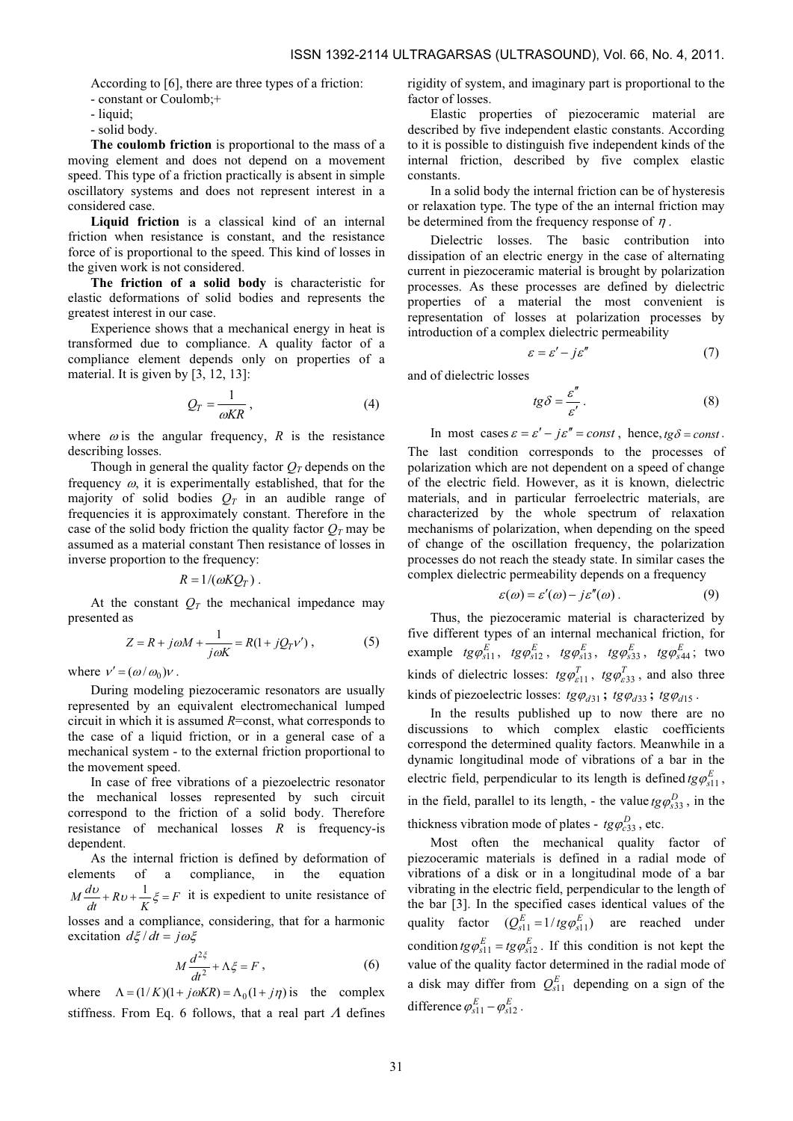According to [6], there are three types of a friction:

- constant or Coulomb;+
- liquid;
- solid body.

The coulomb friction is proportional to the mass of a moving element and does not depend on a movement speed. This type of a friction practically is absent in simple oscillatory systems and does not represent interest in a considered case.

Liquid friction is a classical kind of an internal friction when resistance is constant, and the resistance force of is proportional to the speed. This kind of losses in the given work is not considered.

The friction of a solid body is characteristic for elastic deformations of solid bodies and represents the greatest interest in our case.

Experience shows that a mechanical energy in heat is transformed due to compliance. A quality factor of a compliance element depends only on properties of a material. It is given by [3, 12, 13]:

$$
Q_T = \frac{1}{\omega K R},\tag{4}
$$

where  $\omega$  is the angular frequency, R is the resistance describing losses.

Though in general the quality factor  $Q_T$  depends on the frequency  $\omega$ , it is experimentally established, that for the majority of solid bodies  $Q_T$  in an audible range of frequencies it is approximately constant. Therefore in the case of the solid body friction the quality factor  $Q_T$  may be assumed as a material constant Then resistance of losses in inverse proportion to the frequency:<br> $R = 1/(\omega K Q_T)$ .

$$
R=1/(\omega K Q_T).
$$

At the constant  $Q_T$  the mechanical impedance may presented as

$$
Z = R + j\omega M + \frac{1}{j\omega K} = R(1 + jQ_T v'),
$$
 (5)

where  $v' = (\omega / \omega_0)v$ .

During modeling piezoceramic resonators are usually represented by an equivalent electromechanical lumped circuit in which it is assumed R=const, what corresponds to the case of a liquid friction, or in a general case of a mechanical system - to the external friction proportional to the movement speed.

In case of free vibrations of a piezoelectric resonator the mechanical losses represented by such circuit correspond to the friction of a solid body. Therefore resistance of mechanical losses  $R$  is frequency-is dependent.

As the internal friction is defined by deformation of elements of a compliance, in the equation  $M \frac{dv}{dt} + Rv + \frac{1}{K} \xi = F$  it is expedient to unite resistance of losses and a compliance, considering, that for a harmonic

excitation  $d\xi/dt = j\omega\xi$ 

$$
M\frac{d^{2\xi}}{dt^2} + \Lambda \xi = F\,,\tag{6}
$$

where  $\Lambda = (1/K)(1 + j\omega KR) = \Lambda_0 (1 + j\eta)$  is the complex stiffness. From Eq. 6 follows, that a real part  $\Lambda$  defines rigidity of system, and imaginary part is proportional to the factor of losses.

Elastic properties of piezoceramic material are described by five independent elastic constants. According to it is possible to distinguish five independent kinds of the internal friction, described by five complex elastic constants.

In a solid body the internal friction can be of hysteresis or relaxation type. The type of the an internal friction may be determined from the frequency response of  $\eta$ .

Dielectric losses. The basic contribution into dissipation of an electric energy in the case of alternating current in piezoceramic material is brought by polarization processes. As these processes are defined by dielectric properties of a material the most convenient is representation of losses at polarization processes by introduction of a complex dielectric permeability

$$
\varepsilon = \varepsilon' - j\varepsilon'' \tag{7}
$$

and of dielectric losses

$$
tg\delta = \frac{\varepsilon''}{\varepsilon'}.
$$
 (8)

In most cases  $\varepsilon = \varepsilon' - j\varepsilon'' = const$ , hence,  $tg\delta = const$ . The last condition corresponds to the processes of polarization which are not dependent on a speed of change of the electric field. However, as it is known, dielectric materials, and in particular ferroelectric materials, are characterized by the whole spectrum of relaxation mechanisms of polarization, when depending on the speed of change of the oscillation frequency, the polarization processes do not reach the steady state. In similar cases the complex dielectric permeability depends on a frequency

$$
\varepsilon(\omega) = \varepsilon'(\omega) - j\varepsilon''(\omega). \tag{9}
$$

Thus, the piezoceramic material is characterized by five different types of an internal mechanical friction, for example  $tg\phi_{s11}^E$ ,  $tg\phi_{s12}^E$ ,  $tg\phi_{s13}^E$ ,  $tg\phi_{s33}^E$ ,  $tg\phi_{s44}^E$ ; two kinds of dielectric losses:  $t g \varphi_{\varepsilon 11}^T$ ,  $t g \varphi_{\varepsilon 33}^T$ , and also three kinds of piezoelectric losses:  $tg\varphi_{d31}$ ;  $tg\varphi_{d33}$ ;  $tg\varphi_{d15}$ .

In the results published up to now there are no discussions to which complex elastic coefficients correspond the determined quality factors. Meanwhile in a dynamic longitudinal mode of vibrations of a bar in the electric field, perpendicular to its length is defined  $tg\varphi_{s11}^E$ , in the field, parallel to its length, - the value  $tg\phi_{s33}^D$ , in the thickness vibration mode of plates -  $tg\phi_{c33}^D$ , etc.

Most often the mechanical quality factor of piezoceramic materials is defined in a radial mode of vibrations of a disk or in a longitudinal mode of a bar vibrating in the electric field, perpendicular to the length of the bar [3]. In the specified cases identical values of the quality factor  $(Q_{s11}^E = 1/tg\varphi_{s11}^E)$  are reached under condition  $tg\phi_{s11}^E = tg\phi_{s12}^E$ . If this condition is not kept the value of the quality factor determined in the radial mode of a disk may differ from  $Q_{s11}^E$  depending on a sign of the difference  $\varphi_{s11}^E - \varphi_{s12$ value of the quality factor determined in the radial mode of a disk may differ from  $Q_{s11}^E$  depending on a sign of the difference  $\varphi_{s11}^E - \varphi_{s12}^E$ .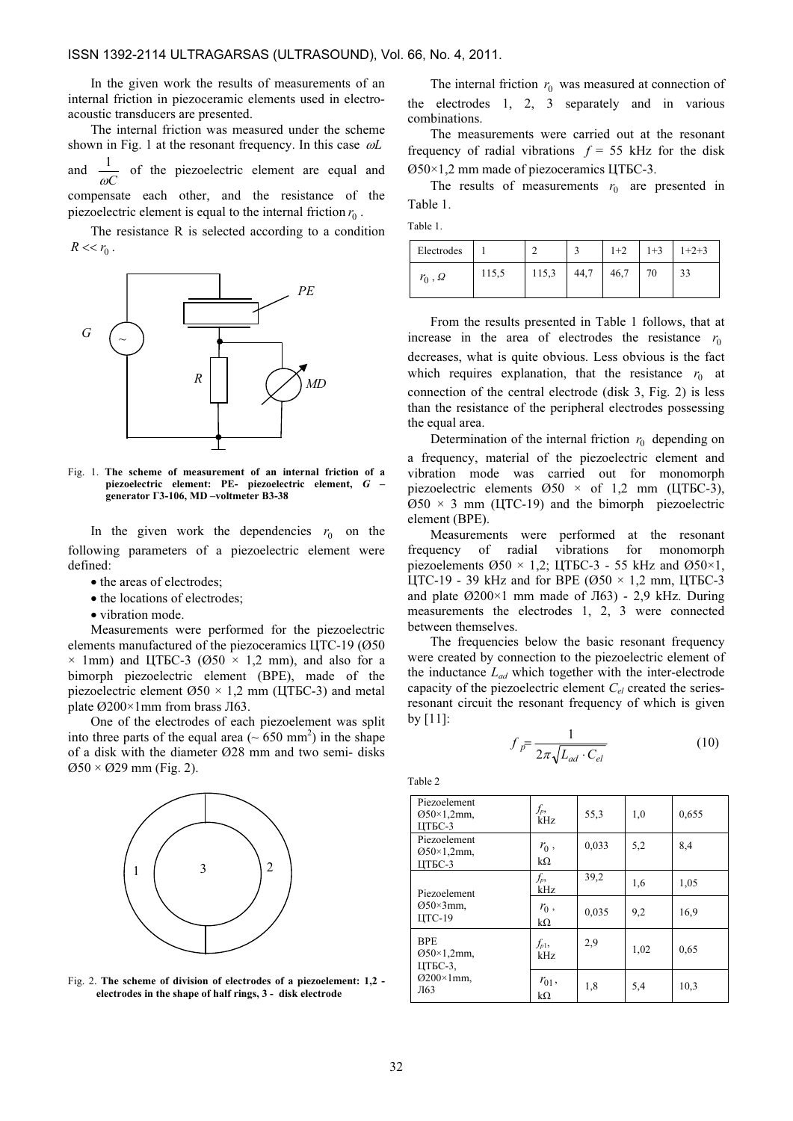In the given work the results of measurements of an internal friction in piezoceramic elements used in electroacoustic transducers are presented.

The internal friction was measured under the scheme shown in Fig. 1 at the resonant frequency. In this case  $\omega L$ and  $\frac{1}{\omega C}$ of the piezoelectric element are equal and compensate each other, and the resistance of the piezoelectric element is equal to the internal friction  $r_0$ .

The resistance R is selected according to a condition  $R << r_0$ .



Fig. 1. The scheme of measurement of an internal friction of a piezoelectric element: PE- piezoelectric element, G – generator Г3-106, MD –voltmeter В3-38

In the given work the dependencies  $r_0$  on the following parameters of a piezoelectric element were defined:

- the areas of electrodes:
- the locations of electrodes:
- vibration mode.

Measurements were performed for the piezoelectric elements manufactured of the piezoceramics ЦТС-19 (Ø50  $\times$  1mm) and ЦТБС-3 (Ø50  $\times$  1,2 mm), and also for a bimorph piezoelectric element (BPE), made of the piezoelectric element  $\varnothing$ 50 × 1,2 mm (ЦТБС-3) and metal plate Ø200×1mm from brass Л63.

One of the electrodes of each piezoelement was split into three parts of the equal area  $(\sim 650 \text{ mm}^2)$  in the shape of a disk with the diameter Ø28 mm and two semi- disks  $\varnothing$ 50 ×  $\varnothing$ 29 mm (Fig. 2).



Fig. 2. The scheme of division of electrodes of a piezoelement: 1,2 electrodes in the shape of half rings, 3 - disk electrode

The internal friction  $r_0$  was measured at connection of the electrodes 1, 2, 3 separately and in various combinations.

The measurements were carried out at the resonant frequency of radial vibrations  $f = 55$  kHz for the disk Ø50×1,2 mm made of piezoceramics ЦТБС-3.

The results of measurements  $r_0$  are presented in Table 1.

| .,<br>× | ۰,<br>٧ |  |
|---------|---------|--|

| Electrodes |       |       |      | $1+2$ | $1 + 3$ | $1+2+3$ |
|------------|-------|-------|------|-------|---------|---------|
| $r_0, Q$   | 115,5 | 115,3 | 44,7 | 46,7  | 70      | 33      |

From the results presented in Table 1 follows, that at increase in the area of electrodes the resistance  $r_0$ decreases, what is quite obvious. Less obvious is the fact which requires explanation, that the resistance  $r_0$  at connection of the central electrode (disk 3, Fig. 2) is less than the resistance of the peripheral electrodes possessing the equal area.

Determination of the internal friction  $r_0$  depending on a frequency, material of the piezoelectric element and vibration mode was carried out for monomorph piezoelectric elements  $\varnothing$ 50 × of 1,2 mm (ЦТБС-3),  $\varnothing$ 50 × 3 mm (ЦТС-19) and the bimorph piezoelectric element (BPE).

Measurements were performed at the resonant frequency of radial vibrations for monomorph piezoelements Ø50 × 1,2; ЦТБС-3 - 55 kHz and Ø50×1, ЦТС-19 - 39 kHz and for BPE ( $\varnothing$ 50 × 1,2 mm, ЦТБС-3 and plate Ø200×1 mm made of JI63) - 2,9 kHz. During measurements the electrodes 1, 2, 3 were connected between themselves.

The frequencies below the basic resonant frequency were created by connection to the piezoelectric element of the inductance  $L_{ad}$  which together with the inter-electrode capacity of the piezoelectric element  $C_{el}$  created the seriesresonant circuit the resonant frequency of which is given  $by [11]$ :

$$
f_{\bar{p}} = \frac{1}{2\pi\sqrt{L_{ad} \cdot C_{el}}} \tag{10}
$$

Таble 2

| Piezoelement<br>$Q50 \times 1,2$ mm,<br>ЦТБС-3                    | $f_p$ ,<br>kHz   | 55,3  | 1,0  | 0,655 |
|-------------------------------------------------------------------|------------------|-------|------|-------|
| Piezoelement<br>$Q50 \times 1,2$ mm,<br>ЦТБС-3                    | $r_0$ ,<br>kΩ    | 0,033 | 5,2  | 8,4   |
| Piezoelement<br>$Q50\times 3$ mm,<br>ЦТС-19                       | $f_p$ ,<br>kHz   | 39,2  | 1,6  | 1,05  |
|                                                                   | $r_0$ ,<br>kΩ    | 0,035 | 9,2  | 16,9  |
| <b>BPE</b><br>$Q50 \times 1,2$ mm,<br>ЦТБС-3.<br>Ø200×1mm,<br>Л63 | $f_{p1}$<br>kHz  | 2,9   | 1,02 | 0.65  |
|                                                                   | $r_{01}$ ,<br>kΩ | 1,8   | 5,4  | 10,3  |